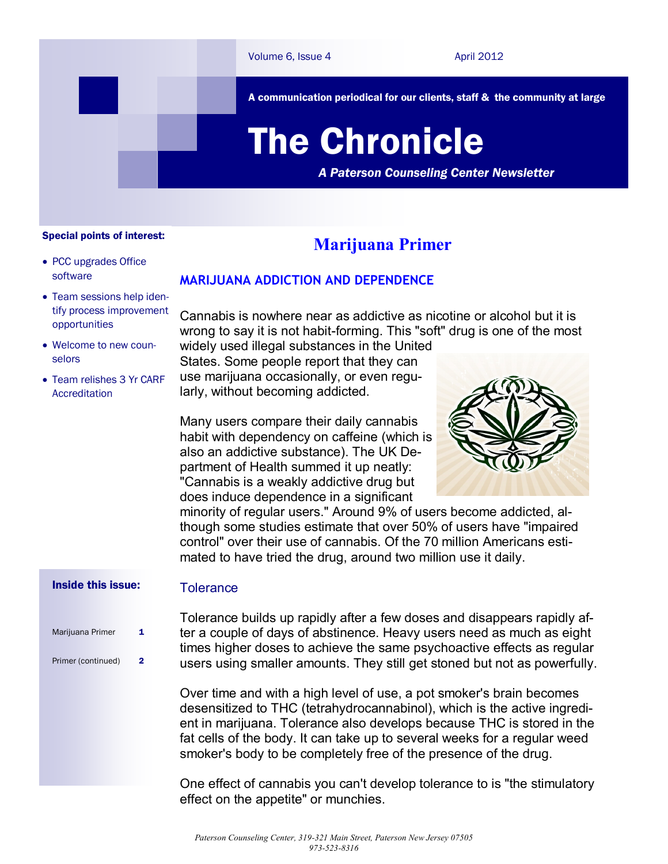

A communication periodical for our clients, staff & the community at large

# The Chronicle

*A Paterson Counseling Center Newsletter*

#### Special points of interest:

- PCC upgrades Office software
- Team sessions help identify process improvement opportunities
- Welcome to new counselors
- Team relishes 3 Yr CARF Accreditation

### **Marijuana Primer**

#### **MARIJUANA ADDICTION AND DEPENDENCE**

Cannabis is nowhere near as addictive as nicotine or alcohol but it is wrong to say it is not habit-forming. This "soft" drug is one of the most

widely used illegal substances in the United States. Some people report that they can use marijuana occasionally, or even regularly, without becoming addicted.

Many users compare their daily cannabis habit with dependency on caffeine (which is also an addictive substance). The UK Department of Health summed it up neatly: "Cannabis is a weakly addictive drug but does induce dependence in a significant



minority of regular users." Around 9% of users become addicted, although some studies estimate that over 50% of users have "impaired control" over their use of cannabis. Of the 70 million Americans estimated to have tried the drug, around two million use it daily.

#### Inside this issue:

#### **Tolerance**

Marijuana Primer 1 Primer (continued) 2 Tolerance builds up rapidly after a few doses and disappears rapidly after a couple of days of abstinence. Heavy users need as much as eight times higher doses to achieve the same psychoactive effects as regular users using smaller amounts. They still get stoned but not as powerfully.

Over time and with a high level of use, a pot smoker's brain becomes desensitized to THC (tetrahydrocannabinol), which is the active ingredient in marijuana. Tolerance also develops because THC is stored in the fat cells of the body. It can take up to several weeks for a regular weed smoker's body to be completely free of the presence of the drug.

One effect of cannabis you can't develop tolerance to is "the stimulatory effect on the appetite" or munchies.